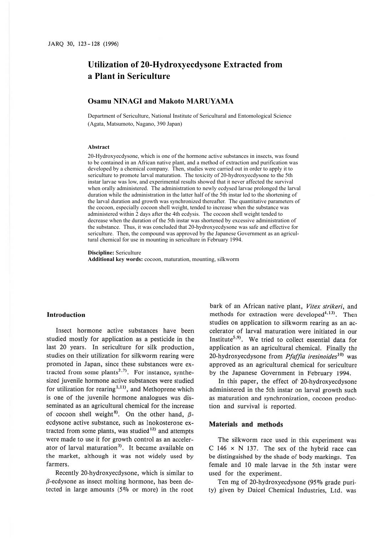# **Utilization of 20-Hydroxyecdysone Extracted from a Plant in Sericulture**

## **Osamu NINAGI and Makoto MARUYAMA**

Department of Sericulture, National Institute of Sericultural and Entomological Science (Agata, Matsumoto, Nagano, 390 Japan)

#### **Abstract**

20-Hydroxyecdysone, which is one of the hormone active substances in insects, was found to be contained in an African native plant, and a method of extraction and purification was developed by a chemical company. Then, studies were carried out in order to apply it to sericulture to promote larval maturation. The toxicity of 20-hydroxyecdysone to the 5th instar larvae was low, and experimental results showed that it never affected the survival when orally administered. The administration to newly ecdysed larvae prolonged the larval duration while the administration in the latter half of the 5th instar led to the shortening of the larval duration and growth was synchronized thereafter. The quantitative parameters of the cocoon, especially cocoon shell weight, tended to increase when the substance was administered within 2 days after the 4th ecdysis. The cocoon shell weight tended to decrease when the duration of the 5th instar was shortened by excessive administration of the substance. Thus, it was concluded that 20-hydroxyecdysone was safe and effective for sericulture. Then, the compound was approved by the Japanese Government as an agricultural chemical for use in mounting in sericulture in February 1994.

**Discipline:** Sericulture

**Additional key words:** cocoon, maturation, mounting, silkworm

#### **Introduction**

Insect hormone active substances · have been studied mostly for application as a pesticide in the last 20 years. In sericulture for silk production, studies on their utilization for silkworm rearing were promoted in Japan, since these substances were extracted from some plants<sup>2,7)</sup>. For instance, synthesized juvenile hormone active substances were studied for utilization for rearing  $1,111$ , and Methoprene which is one of the juvenile hormone analogues was disseminated as an agricultural chemical for the increase of cocoon shell weight<sup>8)</sup>. On the other hand,  $\beta$ ecdysone active substance, such as Inokosterone extracted from some plants, was studied $12$  and attempts were made to use it for growth control as an accelerator of larval maturation<sup>3)</sup>. It became available on the market, although it was not widely used by farmers.

Recently 20-hydroxyecdysone, which is similar to  $\beta$ -ecdysone as insect molting hormone, has been detected in large amounts (5% or more) in the root

bark of an African native plant, *Vitex strikeri,* and methods for extraction were developed<sup>4,13)</sup>. Then studies on application to silkworm rearing as an accelerator of larval maturation were initiated in our Institute<sup>5,9</sup>). We tried to collect essential data for application as an agricultural chemical. Finally the 20-hydroxyecdysone from *Pfaffia iresinoides10*> was approved as an agricultural chemical for sericulture by the Japanese Government in February 1994.

In this paper, the effect of 20-hydroxyecdysone administered in the 5th instar on larval growth such as maturation and synchronization, cocoon production and survival is reported.

#### **Materials and methods**

The silkworm race used in this experiment was C 146  $\times$  N 137. The sex of the hybrid race can be distinguished by the shade of body markings. Ten female and JO male larvae in the 5th instar were used for the experiment.

Ten mg of 20-hydroxyecdysone (95% grade purity) given by Daicel Chemical Industries, Ltd. was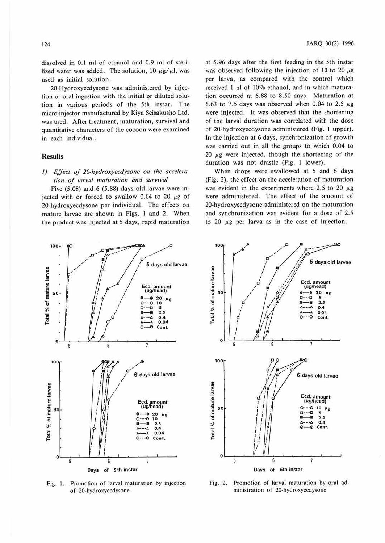dissolved in 0.1 ml of ethanol and 0.9 ml of sterilized water was added. The solution, 10  $\mu$ g/ $\mu$ l, was used as initial solution.

20-Hydroxyecdysone was administered by injection or oral ingestion with the initial or diluted solution in various periods of the 5th instar. The micro-injector manufactured by Kiya Seisakusho Ltd. was used. After treatment, maturation, survival and quantitative characters of the cocoon were examined in each individual.

## **Results**

## 1) Effect of 20-hydroxyecdysone on the acceleration of larval maturation and survival

Five  $(5.08)$  and  $6(5.88)$  days old larvae were injected with or forced to swallow 0.04 to 20  $\mu$ g of 20-hydroxyecdysone per individual. The effects on mature larvae are shown in Figs. 1 and 2. When the product was injected at 5 days, rapid maturation

at 5.96 days after the first feeding in the 5th instar was observed following the injection of 10 to 20  $\mu$ g per larva, as compared with the control which received  $1 \mu l$  of 10% ethanol, and in which maturation occurred at 6.88 to 8.50 days. Maturation at 6.63 to 7.5 days was observed when 0.04 to 2.5  $\mu$ g were injected. It was observed that the shortening of the larval duration was correlated with the dose of 20-hydroxyecdysone administered (Fig. 1 upper). In the injection at 6 days, synchronization of growth was carried out in all the groups to which 0.04 to 20  $\mu$ g were injected, though the shortening of the duration was not drastic (Fig. 1 lower).

When drops were swallowed at 5 and 6 days (Fig. 2), the effect on the acceleration of maturation was evident in the experiments where 2.5 to 20  $\mu$ g were administered. The effect of the amount of 20-hydroxyecdysone administered on the maturation and synchronization was evident for a dose of 2.5 to 20  $\mu$ g per larva as in the case of injection.



Fig. 1. Promotion of larval maturation by injection of 20-hydroxyecdysone



Fig. 2. Promotion of larval maturation by oral administration of 20-hydroxyecdysone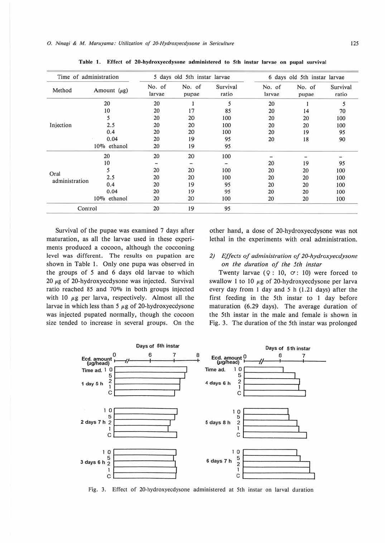| Time of administration |                   |                  | 5 days old 5th instar larvae |                   |                  | 6 days old 5th instar larvae |                   |
|------------------------|-------------------|------------------|------------------------------|-------------------|------------------|------------------------------|-------------------|
| Method                 | Amount $(\mu g)$  | No. of<br>larvae | No. of<br>pupae              | Survival<br>ratio | No. of<br>larvae | No. of<br>pupae              | Survival<br>ratio |
| Injection              | 20                | 20               |                              | 5                 | 20               |                              | 5                 |
|                        | 10                | 20               | 17                           | 85                | 20               | 14                           | 70                |
|                        | 5                 | 20               | 20                           | 100               | 20               | 20                           | 100               |
|                        | 2.5               | 20               | 20                           | 100               | 20               | 20                           | 100               |
|                        | 0.4               | 20               | 20                           | 100               | 20               | 19                           | 95                |
|                        | 0.04              | 20               | 19                           | 95                | 20               | 18                           | 90                |
|                        | $10\%$<br>ethanol | 20               | 19                           | 95                |                  |                              |                   |
| Oral<br>administration | 20                | 20               | 20                           | 100               |                  |                              |                   |
|                        | 10                |                  |                              |                   | 20               | 19                           | 95                |
|                        | 5                 | 20               | 20                           | 100               | 20               | 20                           | 100               |
|                        | 2.5               | 20               | 20                           | 100               | 20               | 20                           | 100               |
|                        | 0.4               | 20               | 19                           | 95                | 20               | 20                           | 100               |
|                        | 0.04              | 20               | 19                           | 95                | 20               | 20                           | 100               |
|                        | $10\%$<br>ethanol | 20               | 20                           | 100               | 20               | 20                           | 100               |
| Control                |                   | 20               | 19                           | 95                |                  |                              |                   |

Table 1. Effect of 20-hydroxyecdysone administered to 5th instar larvae on pupal survival

Survival of the pupae was examined 7 days after maturation, as all the larvae used in these experiments produced a cocoon, although the cocooning level was different. The results on pupation are shown in Table 1. Only one pupa was observed in the groups of *5* and 6 days old larvae to which 20 *µg* of 20-hydroxyecdysone was injected. Survival ratio reached 85 and 70% in both groups injected with 10  $\mu$ g per larva, respectively. Almost all the larvae in which less than *5 µg* of 20-hydroxyecdysone was injected pupated normally, though the cocoon size tended to increase in several groups. On the

other hand, a dose of 20-hydroxyecdysone was not lethal in the experiments with oral administration.

*2) Effects of administration of 20-hydroxyecdysone on the duration of the 5th inslar* 

Twenty larvae  $(Q: 10, \sigma: 10)$  were forced to swallow 1 to 10  $\mu$ g of 20-hydroxyecdysone per larva every day from I day and *5* h (1.21 days) after the first feeding in the 5th instar to I day before maturation (6.29 days). The average duration of the 5th instar in the male and female is shown in Fig. 3. The duration of the 5th instar was prolonged



Fig. 3. Effect of 20-hydroxyecdysone administered at 5th instar on larval duration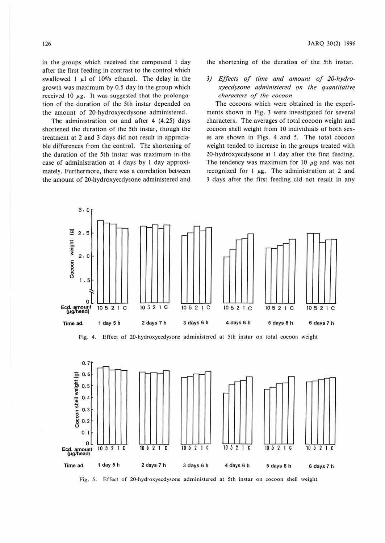in the groups which received the compound I day after the first feeding in contrast to the control which swallowed 1  $\mu$ l of 10% ethanol. The delay in the growth was maximum by *0.5* day in the group which received 10  $\mu$ g. It was suggested that the prolongation of the duration of the 5th instar depended on the amount of 20-hydroxyecdysone administered.

The administration on and after 4 (4.25) days shortened the duration of the 5th instar, though the treatment at 2 and 3 days did not result in appreciable differences from the control. The shortening of the duration of the 5th instar was maximum in the case of administration at 4 days by I day approximately. Furthermore, there was a correlation between the amount of 20-hydroxyecdysone administered and

the shortening of *ihe* duration of the 5th instar.

# *3) Effects of time and amount of 20-hydroxyecdysone administered on the quantitative characters of the cocoon*

The cocoons which were obtained in the experiments shown in Fig. 3 were investigated for several characters. The averages of total cocoon weight and cocoon shell weight from 10 individuals of both sexes are shown in Figs. 4 and *5.* The total cocoon weight tended to increase in the groups treated with 20-bydroxyecdysone at 1 day after the first feeding. The tendency was maximum for 10  $\mu$ g and was not recognized for 1  $\mu$ g. The administration at 2 and 3 days after the first feeding did not result in any



Fig. 4. Effect of 20-hydroxyecdysonc administered at 5th instar on total cocoon weight



Fig. *5.* Effect of 20-hydroxyecdysone administered at 5th instar on cocoon shell weight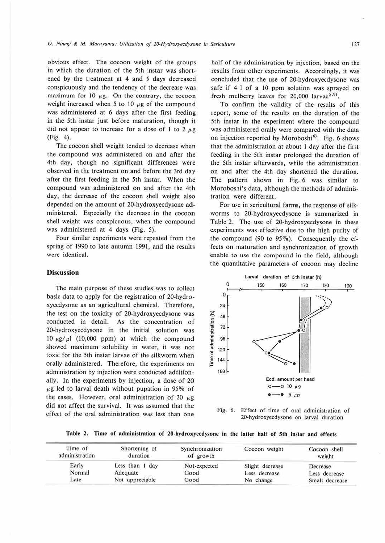obvious effect. The cocoon weight of the groups in which the duration of the 5th instar was shortened by the treatment at 4 and *5* days decreased conspicuously and the tendency of the decrease was maximum for 10  $\mu$ g. On the contrary, the cocoon weight increased when 5 to 10  $\mu$ g of the compound was administered at 6 days after the first feeding in the 5th instar just before maturation, though it did not appear to increase for a dose of 1 to 2  $\mu$ g (Fig. 4).

The cocoon shell weight tended to decrease when the compound was administered on and after the 4th day, though no significant differences were observed in the treatment on and before the 3rd day after the first feeding in the 5th instar. When the compound was administered on and after the 4th day, the decrease of the cocoon shell weight also depended on the amount of 20-hydroxyecdysone adlministered. Especially the decrease in the cocoon shell weight was conspicuous, when the compound was administered at 4 days (Fig. 5).

Four similar experiments were repeated from the spring of 1990 to late autumn 1991, and the results were identical.

### **Discussion**

The main purpose of these studies was to collect basic data to apply for the registration of 20-hydroxyecdysone as an agricultural chemical. Therefore, the test on the toxicity of 20-hydroxyecdysone was conducted in detail. As the concentration of 20-hydroxyecdysone in the initial solution was  $10 \mu g/\mu$  (10,000 ppm) at which the compound showed maximum solubility in water, it was not toxic for the 5th instar larvae of the silkworm when orally administered. Therefore, the experiments on administration by injection were conducted additionally. In the experiments by injection, a dose of 20  $\mu$ g led to larval death without pupation in 95% of the cases. However, oral administration of 20  $\mu$ g did not affect the survival. It was assumed that the effect of the oral administration was less than one

half of the administration by injection, based on the results from other experiments. Accordingly, it was concluded that the use of 20-hydroxyecdysone was safe if 4 I of a 10 ppm solution was sprayed on fresh mulberry leaves for 20,000 larvae<sup>5,9)</sup>.

To confirm the validity of the results of this report, some of the results on the duration of the 5th instar in the experiment where the compound was administered orally were compared with the data on injection reported by Moroboshi<sup>6)</sup>. Fig. 6 shows that the administration at about 1 day after the first feeding in the 5th instar prolonged the duration of the 5th instar afterwards, while the administration on and after the 4th day shortened the duration. The pattern shown in Fig. 6 was similar to Moroboshi's data, although the methods of administration were different.

For use in sericultural farms, the response of silkworms to 20-hydroxyecdysone is summarized in Table 2. The use of 20-hydroxyecdysone in these experiments was effective due to the high purity of the compound (90 to 95%). Consequently the effects on maturation and synchronization of growth enable to use the compound in the field, although the quantitative parameters of cocoon may decline





**Table 2. Time of administration of 20-hydroxyecdysone in the latter half of 5th inslar and effects** 

| Time of<br>administration | Shortening of<br>duration | Synchronization<br>of growth | Cocoon weight   | Cocoon shell<br>weight |
|---------------------------|---------------------------|------------------------------|-----------------|------------------------|
| Early                     | Less than 1 day           | Not-expected                 | Slight decrease | Decrease               |
| Normal                    | Adequate                  | Good                         | Less decrease   | Less decrease          |
| Late                      | Not appreciable           | Good                         | No change       | Small decrease         |